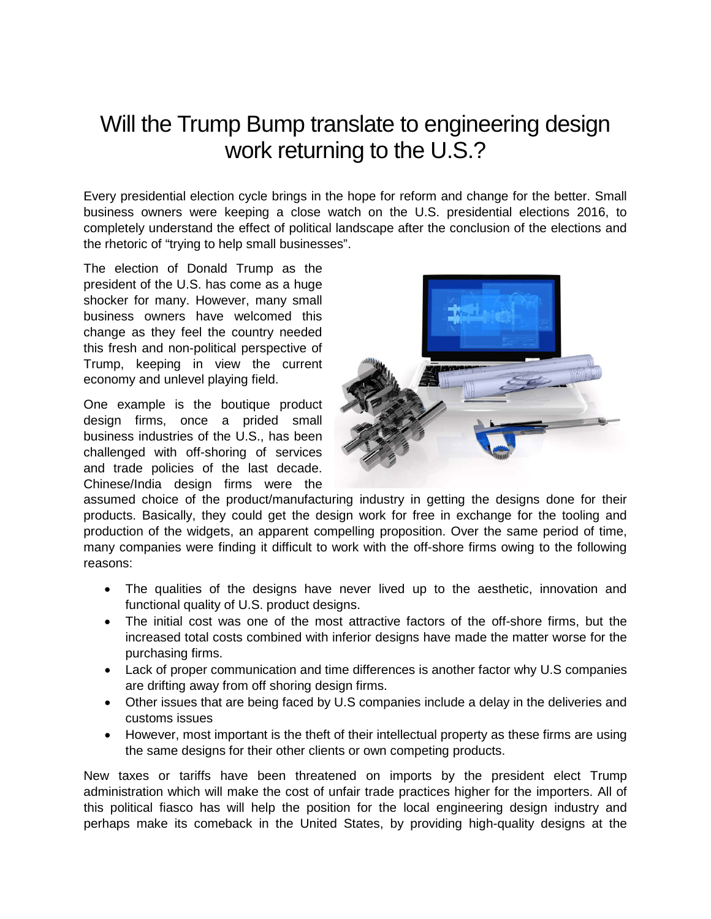## Will the Trump Bump translate to engineering design work returning to the U.S.?

Every presidential election cycle brings in the hope for reform and change for the better. Small business owners were keeping a close watch on the U.S. presidential elections 2016, to completely understand the effect of political landscape after the conclusion of the elections and the rhetoric of "trying to help small businesses".

The election of Donald Trump as the president of the U.S. has come as a huge shocker for many. However, many small business owners have welcomed this change as they feel the country needed this fresh and non-political perspective of Trump, keeping in view the current economy and unlevel playing field.

One example is the boutique product design firms, once a prided small business industries of the U.S., has been challenged with off-shoring of services and trade policies of the last decade. Chinese/India design firms were the



assumed choice of the product/manufacturing industry in getting the designs done for their products. Basically, they could get the design work for free in exchange for the tooling and production of the widgets, an apparent compelling proposition. Over the same period of time, many companies were finding it difficult to work with the off-shore firms owing to the following reasons:

- The qualities of the designs have never lived up to the aesthetic, innovation and functional quality of U.S. product designs.
- The initial cost was one of the most attractive factors of the off-shore firms, but the increased total costs combined with inferior designs have made the matter worse for the purchasing firms.
- Lack of proper communication and time differences is another factor why U.S companies are drifting away from off shoring design firms.
- Other issues that are being faced by U.S companies include a delay in the deliveries and customs issues
- However, most important is the theft of their intellectual property as these firms are using the same designs for their other clients or own competing products.

New taxes or tariffs have been threatened on imports by the president elect Trump administration which will make the cost of unfair trade practices higher for the importers. All of this political fiasco has will help the position for the local engineering design industry and perhaps make its comeback in the United States, by providing high-quality designs at the